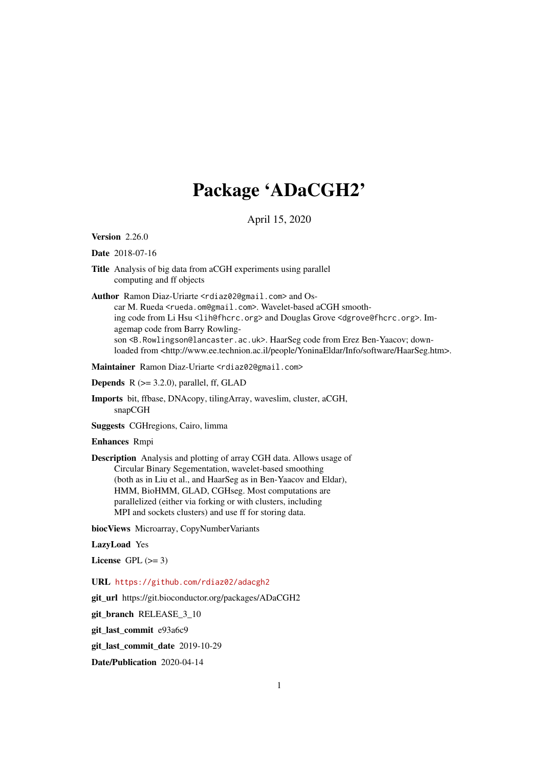# Package 'ADaCGH2'

# April 15, 2020

<span id="page-0-0"></span>Version 2.26.0

#### Date 2018-07-16

Title Analysis of big data from aCGH experiments using parallel computing and ff objects

Author Ramon Diaz-Uriarte <rdiaz02@gmail.com> and Oscar M. Rueda <rueda.om@gmail.com>. Wavelet-based aCGH smoothing code from Li Hsu <lih@fhcrc.org> and Douglas Grove <dgrove@fhcrc.org>. Imagemap code from Barry Rowlingson <B.Rowlingson@lancaster.ac.uk>. HaarSeg code from Erez Ben-Yaacov; downloaded from <http://www.ee.technion.ac.il/people/YoninaEldar/Info/software/HaarSeg.htm>.

Maintainer Ramon Diaz-Uriarte <rdiaz02@gmail.com>

**Depends**  $R$  ( $> = 3.2.0$ ), parallel, ff, GLAD

Imports bit, ffbase, DNAcopy, tilingArray, waveslim, cluster, aCGH, snapCGH

Suggests CGHregions, Cairo, limma

#### Enhances Rmpi

Description Analysis and plotting of array CGH data. Allows usage of Circular Binary Segementation, wavelet-based smoothing (both as in Liu et al., and HaarSeg as in Ben-Yaacov and Eldar), HMM, BioHMM, GLAD, CGHseg. Most computations are parallelized (either via forking or with clusters, including MPI and sockets clusters) and use ff for storing data.

biocViews Microarray, CopyNumberVariants

LazyLoad Yes

License GPL  $(>= 3)$ 

URL <https://github.com/rdiaz02/adacgh2>

git\_url https://git.bioconductor.org/packages/ADaCGH2

git\_branch RELEASE\_3\_10

git\_last\_commit e93a6c9

git\_last\_commit\_date 2019-10-29

Date/Publication 2020-04-14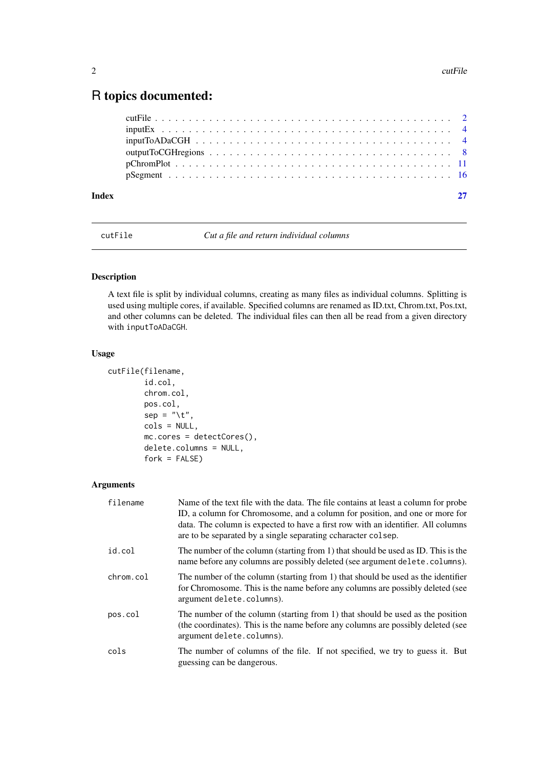# <span id="page-1-0"></span>R topics documented:

| <b>Index</b> |  |
|--------------|--|
|              |  |
|              |  |
|              |  |
|              |  |
|              |  |
|              |  |

<span id="page-1-1"></span>cutFile *Cut a file and return individual columns*

# Description

A text file is split by individual columns, creating as many files as individual columns. Splitting is used using multiple cores, if available. Specified columns are renamed as ID.txt, Chrom.txt, Pos.txt, and other columns can be deleted. The individual files can then all be read from a given directory with inputToADaCGH.

#### Usage

```
cutFile(filename,
        id.col,
        chrom.col,
        pos.col,
        sep = "\t",
        cols = NULL,
        mc.cores = detectCores(),
        delete.columns = NULL,
        fork = FALSE)
```
# Arguments

| filename  | Name of the text file with the data. The file contains at least a column for probe<br>ID, a column for Chromosome, and a column for position, and one or more for<br>data. The column is expected to have a first row with an identifier. All columns<br>are to be separated by a single separating ccharacter colsep. |
|-----------|------------------------------------------------------------------------------------------------------------------------------------------------------------------------------------------------------------------------------------------------------------------------------------------------------------------------|
| id.col    | The number of the column (starting from 1) that should be used as ID. This is the<br>name before any columns are possibly deleted (see argument delete.columns).                                                                                                                                                       |
| chrom.col | The number of the column (starting from 1) that should be used as the identifier<br>for Chromosome. This is the name before any columns are possibly deleted (see<br>argument delete.columns).                                                                                                                         |
| pos.col   | The number of the column (starting from 1) that should be used as the position<br>(the coordinates). This is the name before any columns are possibly deleted (see<br>argument delete.columns).                                                                                                                        |
| cols      | The number of columns of the file. If not specified, we try to guess it. But<br>guessing can be dangerous.                                                                                                                                                                                                             |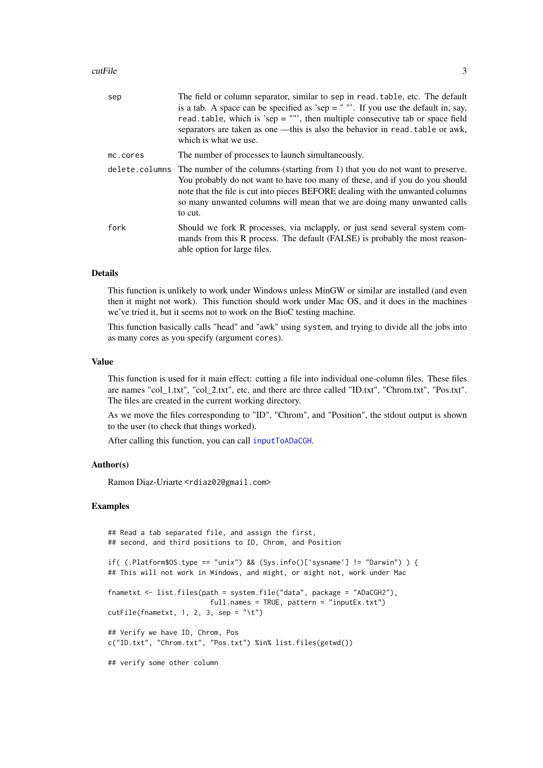#### <span id="page-2-0"></span>cutFile 3

| sep      | The field or column separator, similar to sep in read. table, etc. The default<br>is a tab. A space can be specified as 'sep = $"$ ". If you use the default in, say,<br>read, table, which is 'sep = $\cdots$ ', then multiple consecutive tab or space field<br>separators are taken as one —this is also the behavior in read. table or awk,<br>which is what we use. |
|----------|--------------------------------------------------------------------------------------------------------------------------------------------------------------------------------------------------------------------------------------------------------------------------------------------------------------------------------------------------------------------------|
| mc.cores | The number of processes to launch simultaneously.                                                                                                                                                                                                                                                                                                                        |
|          | delete.columns The number of the columns (starting from 1) that you do not want to preserve.<br>You probably do not want to have too many of these, and if you do you should<br>note that the file is cut into pieces BEFORE dealing with the unwanted columns<br>so many unwanted columns will mean that we are doing many unwanted calls<br>to cut.                    |
| fork     | Should we fork R processes, via mclapply, or just send several system com-<br>mands from this R process. The default (FALSE) is probably the most reason-<br>able option for large files.                                                                                                                                                                                |

#### Details

This function is unlikely to work under Windows unless MinGW or similar are installed (and even then it might not work). This function should work under Mac OS, and it does in the machines we've tried it, but it seems not to work on the BioC testing machine.

This function basically calls "head" and "awk" using system, and trying to divide all the jobs into as many cores as you specify (argument cores).

#### Value

This function is used for it main effect: cutting a file into individual one-column files. These files are names "col\_1.txt", "col\_2.txt", etc, and there are three called "ID.txt", "Chrom.txt", "Pos.txt". The files are created in the current working directory.

As we move the files corresponding to "ID", "Chrom", and "Position", the stdout output is shown to the user (to check that things worked).

After calling this function, you can call [inputToADaCGH](#page-3-1).

#### Author(s)

Ramon Diaz-Uriarte <rdiaz02@gmail.com>

#### Examples

```
## Read a tab separated file, and assign the first,
## second, and third positions to ID, Chrom, and Position
if( (.Platform$OS.type == "unix") && (Sys.info()['sysname'] != "Darwin") ) {
## This will not work in Windows, and might, or might not, work under Mac
fnametxt <- list.files(path = system.file("data", package = "ADaCGH2"),
                         full.names = TRUE, pattern = "inputEx.txt")
cutFile(fnametzt, 1, 2, 3, sep = "\\t")## Verify we have ID, Chrom, Pos
c("ID.txt", "Chrom.txt", "Pos.txt") %in% list.files(getwd())
## verify some other column
```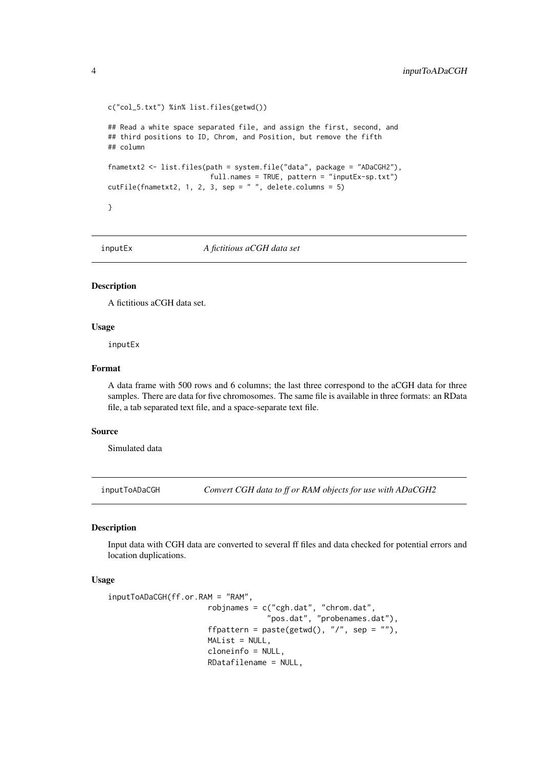```
c("col_5.txt") %in% list.files(getwd())
## Read a white space separated file, and assign the first, second, and
## third positions to ID, Chrom, and Position, but remove the fifth
## column
fnametxt2 <- list.files(path = system.file("data", package = "ADaCGH2"),
                         full.names = TRUE, pattern = "inputEx-sp.txt")
cutFile(fnametxt2, 1, 2, 3, sep = " " , delete columns = 5)}
```
inputEx *A fictitious aCGH data set*

#### Description

A fictitious aCGH data set.

#### Usage

inputEx

#### Format

A data frame with 500 rows and 6 columns; the last three correspond to the aCGH data for three samples. There are data for five chromosomes. The same file is available in three formats: an RData file, a tab separated text file, and a space-separate text file.

#### Source

Simulated data

<span id="page-3-1"></span>inputToADaCGH *Convert CGH data to ff or RAM objects for use with ADaCGH2*

### Description

Input data with CGH data are converted to several ff files and data checked for potential errors and location duplications.

## Usage

```
inputToADaCGH(ff.or.RAM = "RAM",
                        robjnames = c("cgh.dat", "chrom.dat",
                                       "pos.dat", "probenames.dat"),
                        ffpattern = paste(getwd(), \sqrt[n]{ }, sep = \sqrt[n]{ }),
                        MAList = NULL,cloneinfo = NULL,
                        RDatafilename = NULL,
```
<span id="page-3-0"></span>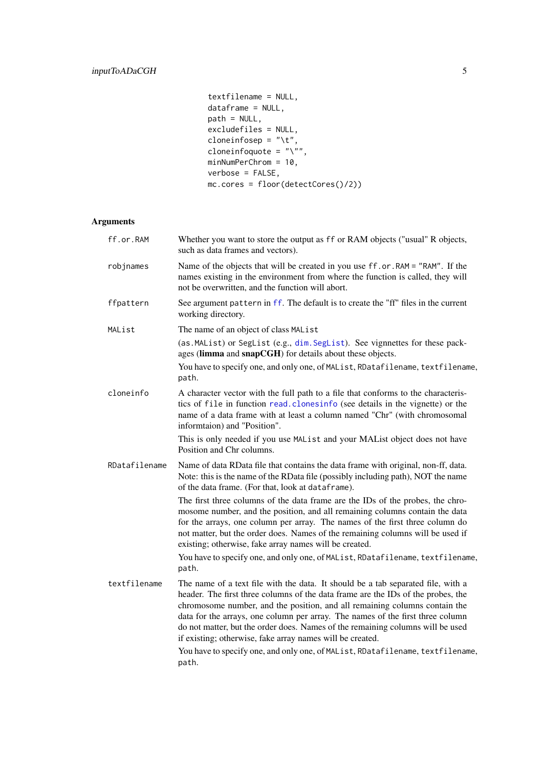<span id="page-4-0"></span>textfilename = NULL, dataframe = NULL, path = NULL, excludefiles = NULL, cloneinfosep =  $"\t t",$ cloneinfoquote =  $"\n\\"$ minNumPerChrom = 10, verbose = FALSE, mc.cores = floor(detectCores()/2))

# Arguments

| ff.or.RAM     | Whether you want to store the output as ff or RAM objects ("usual" R objects,<br>such as data frames and vectors).                                                                                                                                                                                                                                                                                                                                                                  |
|---------------|-------------------------------------------------------------------------------------------------------------------------------------------------------------------------------------------------------------------------------------------------------------------------------------------------------------------------------------------------------------------------------------------------------------------------------------------------------------------------------------|
| robjnames     | Name of the objects that will be created in you use ff.or.RAM = "RAM". If the<br>names existing in the environment from where the function is called, they will<br>not be overwritten, and the function will abort.                                                                                                                                                                                                                                                                 |
| ffpattern     | See argument pattern in ff. The default is to create the "ff" files in the current<br>working directory.                                                                                                                                                                                                                                                                                                                                                                            |
| MAList        | The name of an object of class MAList                                                                                                                                                                                                                                                                                                                                                                                                                                               |
|               | (as. MAList) or SegList (e.g., dim. SegList). See vignnettes for these pack-<br>ages (limma and snapCGH) for details about these objects.                                                                                                                                                                                                                                                                                                                                           |
|               | You have to specify one, and only one, of MAList, RDatafilename, textfilename,<br>path.                                                                                                                                                                                                                                                                                                                                                                                             |
| cloneinfo     | A character vector with the full path to a file that conforms to the characteris-<br>tics of file in function read. clonesinfo (see details in the vignette) or the<br>name of a data frame with at least a column named "Chr" (with chromosomal<br>informtaion) and "Position".                                                                                                                                                                                                    |
|               | This is only needed if you use MAList and your MAList object does not have<br>Position and Chr columns.                                                                                                                                                                                                                                                                                                                                                                             |
| RDatafilename | Name of data RData file that contains the data frame with original, non-ff, data.<br>Note: this is the name of the RData file (possibly including path), NOT the name<br>of the data frame. (For that, look at dataframe).                                                                                                                                                                                                                                                          |
|               | The first three columns of the data frame are the IDs of the probes, the chro-<br>mosome number, and the position, and all remaining columns contain the data<br>for the arrays, one column per array. The names of the first three column do<br>not matter, but the order does. Names of the remaining columns will be used if<br>existing; otherwise, fake array names will be created.                                                                                           |
|               | You have to specify one, and only one, of MAList, RDatafilename, textfilename,<br>path.                                                                                                                                                                                                                                                                                                                                                                                             |
| textfilename  | The name of a text file with the data. It should be a tab separated file, with a<br>header. The first three columns of the data frame are the IDs of the probes, the<br>chromosome number, and the position, and all remaining columns contain the<br>data for the arrays, one column per array. The names of the first three column<br>do not matter, but the order does. Names of the remaining columns will be used<br>if existing; otherwise, fake array names will be created. |
|               | You have to specify one, and only one, of MAList, RDatafilename, textfilename,<br>path.                                                                                                                                                                                                                                                                                                                                                                                             |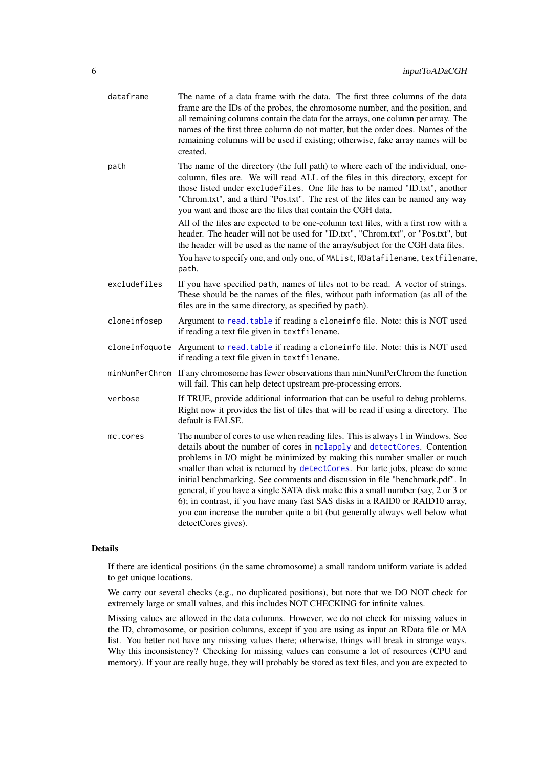<span id="page-5-0"></span>

| dataframe      | The name of a data frame with the data. The first three columns of the data<br>frame are the IDs of the probes, the chromosome number, and the position, and<br>all remaining columns contain the data for the arrays, one column per array. The<br>names of the first three column do not matter, but the order does. Names of the<br>remaining columns will be used if existing; otherwise, fake array names will be<br>created.                                                                                                                                                                                                                                                                                                                         |
|----------------|------------------------------------------------------------------------------------------------------------------------------------------------------------------------------------------------------------------------------------------------------------------------------------------------------------------------------------------------------------------------------------------------------------------------------------------------------------------------------------------------------------------------------------------------------------------------------------------------------------------------------------------------------------------------------------------------------------------------------------------------------------|
| path           | The name of the directory (the full path) to where each of the individual, one-<br>column, files are. We will read ALL of the files in this directory, except for<br>those listed under excludefiles. One file has to be named "ID.txt", another<br>"Chrom.txt", and a third "Pos.txt". The rest of the files can be named any way<br>you want and those are the files that contain the CGH data.<br>All of the files are expected to be one-column text files, with a first row with a<br>header. The header will not be used for "ID.txt", "Chrom.txt", or "Pos.txt", but<br>the header will be used as the name of the array/subject for the CGH data files.<br>You have to specify one, and only one, of MAList, RDatafilename, textfilename,<br>path. |
| excludefiles   | If you have specified path, names of files not to be read. A vector of strings.<br>These should be the names of the files, without path information (as all of the<br>files are in the same directory, as specified by path).                                                                                                                                                                                                                                                                                                                                                                                                                                                                                                                              |
| cloneinfosep   | Argument to read. table if reading a cloneinfo file. Note: this is NOT used<br>if reading a text file given in textfilename.                                                                                                                                                                                                                                                                                                                                                                                                                                                                                                                                                                                                                               |
| cloneinfoquote | Argument to read. table if reading a cloneinfo file. Note: this is NOT used<br>if reading a text file given in textfilename.                                                                                                                                                                                                                                                                                                                                                                                                                                                                                                                                                                                                                               |
| minNumPerChrom | If any chromosome has fewer observations than minNumPerChrom the function<br>will fail. This can help detect upstream pre-processing errors.                                                                                                                                                                                                                                                                                                                                                                                                                                                                                                                                                                                                               |
| verbose        | If TRUE, provide additional information that can be useful to debug problems.<br>Right now it provides the list of files that will be read if using a directory. The<br>default is FALSE.                                                                                                                                                                                                                                                                                                                                                                                                                                                                                                                                                                  |
| mc.cores       | The number of cores to use when reading files. This is always 1 in Windows. See<br>details about the number of cores in mclapply and detectCores. Contention<br>problems in I/O might be minimized by making this number smaller or much<br>smaller than what is returned by detectCores. For larte jobs, please do some<br>initial benchmarking. See comments and discussion in file "benchmark.pdf". In<br>general, if you have a single SATA disk make this a small number (say, 2 or 3 or<br>6); in contrast, if you have many fast SAS disks in a RAID0 or RAID10 array,<br>you can increase the number quite a bit (but generally always well below what<br>detectCores gives).                                                                      |

#### Details

If there are identical positions (in the same chromosome) a small random uniform variate is added to get unique locations.

We carry out several checks (e.g., no duplicated positions), but note that we DO NOT check for extremely large or small values, and this includes NOT CHECKING for infinite values.

Missing values are allowed in the data columns. However, we do not check for missing values in the ID, chromosome, or position columns, except if you are using as input an RData file or MA list. You better not have any missing values there; otherwise, things will break in strange ways. Why this inconsistency? Checking for missing values can consume a lot of resources (CPU and memory). If your are really huge, they will probably be stored as text files, and you are expected to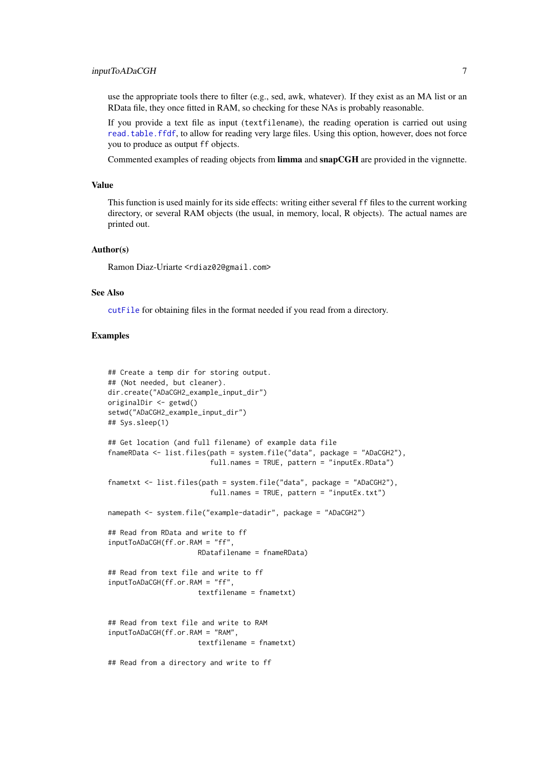<span id="page-6-0"></span>use the appropriate tools there to filter (e.g., sed, awk, whatever). If they exist as an MA list or an RData file, they once fitted in RAM, so checking for these NAs is probably reasonable.

If you provide a text file as input (textfilename), the reading operation is carried out using [read.table.ffdf](#page-0-0), to allow for reading very large files. Using this option, however, does not force you to produce as output ff objects.

Commented examples of reading objects from limma and snapCGH are provided in the vignnette.

#### Value

This function is used mainly for its side effects: writing either several ff files to the current working directory, or several RAM objects (the usual, in memory, local, R objects). The actual names are printed out.

#### Author(s)

Ramon Diaz-Uriarte <rdiaz02@gmail.com>

#### See Also

[cutFile](#page-1-1) for obtaining files in the format needed if you read from a directory.

### Examples

```
## Create a temp dir for storing output.
## (Not needed, but cleaner).
dir.create("ADaCGH2_example_input_dir")
originalDir <- getwd()
setwd("ADaCGH2_example_input_dir")
## Sys.sleep(1)
## Get location (and full filename) of example data file
fnameRData <- list.files(path = system.file("data", package = "ADaCGH2"),
                         full.names = TRUE, pattern = "inputEx.RData")
fnametxt <- list.files(path = system.file("data", package = "ADaCGH2"),
                         full.names = TRUE, pattern = "inputEx.txt")
namepath <- system.file("example-datadir", package = "ADaCGH2")
## Read from RData and write to ff
inputToADaCGH(ff.or.RAM = "ff",
                      RDatafilename = fnameRData)
## Read from text file and write to ff
inputToADaCGH(ff.or.RAM = "ff",
                      textfilename = fnametxt)
## Read from text file and write to RAM
inputToADaCGH(ff.or.RAM = "RAM",
                      textfilename = fnametxt)
## Read from a directory and write to ff
```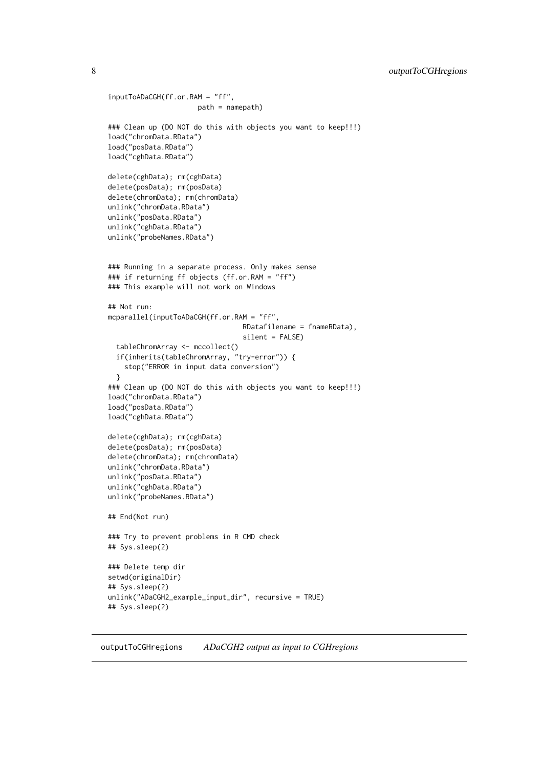```
inputToADaCGH(ff.or.RAM = "ff",
                      path = namepath)### Clean up (DO NOT do this with objects you want to keep!!!)
load("chromData.RData")
load("posData.RData")
load("cghData.RData")
delete(cghData); rm(cghData)
delete(posData); rm(posData)
delete(chromData); rm(chromData)
unlink("chromData.RData")
unlink("posData.RData")
unlink("cghData.RData")
unlink("probeNames.RData")
### Running in a separate process. Only makes sense
### if returning ff objects (ff.or.RAM = "ff")
### This example will not work on Windows
## Not run:
mcparallel(inputToADaCGH(ff.or.RAM = "ff",
                                 RDatafilename = fnameRData),
                                 silent = FALSE)
  tableChromArray <- mccollect()
  if(inherits(tableChromArray, "try-error")) {
    stop("ERROR in input data conversion")
  }
### Clean up (DO NOT do this with objects you want to keep!!!)
load("chromData.RData")
load("posData.RData")
load("cghData.RData")
delete(cghData); rm(cghData)
delete(posData); rm(posData)
delete(chromData); rm(chromData)
unlink("chromData.RData")
unlink("posData.RData")
unlink("cghData.RData")
unlink("probeNames.RData")
## End(Not run)
### Try to prevent problems in R CMD check
## Sys.sleep(2)
### Delete temp dir
setwd(originalDir)
## Sys.sleep(2)
unlink("ADaCGH2_example_input_dir", recursive = TRUE)
## Sys.sleep(2)
```
outputToCGHregions *ADaCGH2 output as input to CGHregions*

<span id="page-7-0"></span>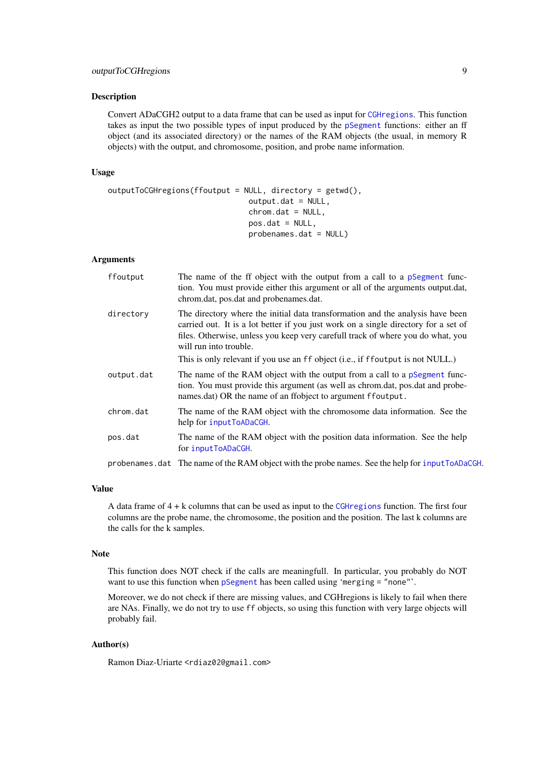#### <span id="page-8-0"></span>Description

Convert ADaCGH2 output to a data frame that can be used as input for [CGHregions](#page-0-0). This function takes as input the two possible types of input produced by the [pSegment](#page-15-1) functions: either an ff object (and its associated directory) or the names of the RAM objects (the usual, in memory R objects) with the output, and chromosome, position, and probe name information.

#### Usage

```
outputToCGHregions(ffoutput = NULL, directory = getwd(),
                               output.dat = NULL,
                               chrom.dat = NULL,
                               pos.dat = NULL,probenames.dat = NULL)
```
#### Arguments

| ffoutput   | The name of the ff object with the output from a call to a pSegment func-<br>tion. You must provide either this argument or all of the arguments output.dat,<br>chrom.dat, pos.dat and probenames.dat.                                                                             |
|------------|------------------------------------------------------------------------------------------------------------------------------------------------------------------------------------------------------------------------------------------------------------------------------------|
| directory  | The directory where the initial data transformation and the analysis have been<br>carried out. It is a lot better if you just work on a single directory for a set of<br>files. Otherwise, unless you keep very carefull track of where you do what, you<br>will run into trouble. |
|            | This is only relevant if you use an ff object (i.e., if ffoutput is not NULL.)                                                                                                                                                                                                     |
| output.dat | The name of the RAM object with the output from a call to a pSegment func-<br>tion. You must provide this argument (as well as chrom.dat, pos.dat and probe-<br>names.dat) OR the name of an ffobject to argument ffoutput.                                                        |
| chrom.dat  | The name of the RAM object with the chromosome data information. See the<br>help for inputToADaCGH.                                                                                                                                                                                |
| pos.dat    | The name of the RAM object with the position data information. See the help<br>for inputToADaCGH.                                                                                                                                                                                  |
|            | probenames.dat The name of the RAM object with the probe names. See the help for inputToADaCGH.                                                                                                                                                                                    |

#### Value

A data frame of 4 + k columns that can be used as input to the [CGHregions](#page-0-0) function. The first four columns are the probe name, the chromosome, the position and the position. The last k columns are the calls for the k samples.

#### Note

This function does NOT check if the calls are meaningfull. In particular, you probably do NOT want to use this function when [pSegment](#page-15-1) has been called using 'merging = "none"'.

Moreover, we do not check if there are missing values, and CGHregions is likely to fail when there are NAs. Finally, we do not try to use ff objects, so using this function with very large objects will probably fail.

#### Author(s)

Ramon Diaz-Uriarte <rdiaz02@gmail.com>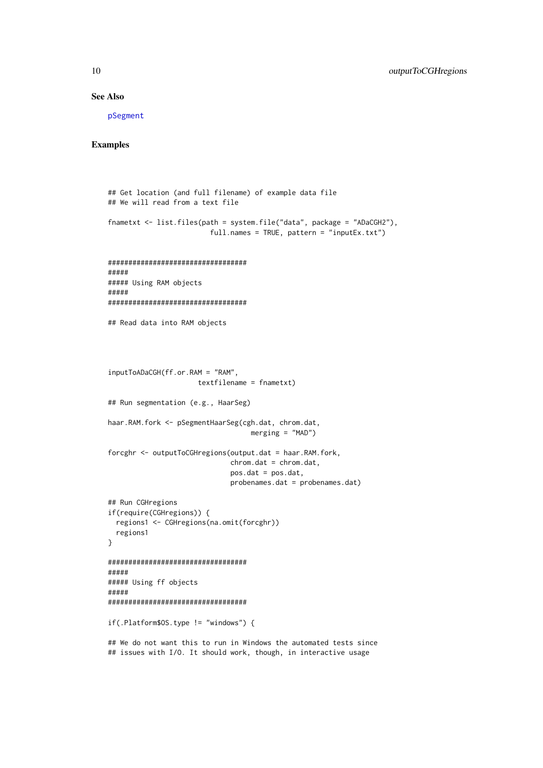#### See Also

[pSegment](#page-15-1)

#### Examples

```
## Get location (and full filename) of example data file
## We will read from a text file
fnametxt <- list.files(path = system.file("data", package = "ADaCGH2"),
                         full.names = TRUE, pattern = "inputEx.txt")
##################################
#####
##### Using RAM objects
#####
##################################
## Read data into RAM objects
inputToADaCGH(ff.or.RAM = "RAM",
                      textfilename = fnametxt)
## Run segmentation (e.g., HaarSeg)
haar.RAM.fork <- pSegmentHaarSeg(cgh.dat, chrom.dat,
                                   merging = "MAD")
forcghr <- outputToCGHregions(output.dat = haar.RAM.fork,
                              chrom.dat = chrom.dat,
                              pos.dat = pos.dat,
                              probenames.dat = probenames.dat)
## Run CGHregions
if(require(CGHregions)) {
 regions1 <- CGHregions(na.omit(forcghr))
  regions1
}
##################################
#####
##### Using ff objects
#####
##################################
if(.Platform$OS.type != "windows") {
## We do not want this to run in Windows the automated tests since
```
## issues with I/O. It should work, though, in interactive usage

<span id="page-9-0"></span>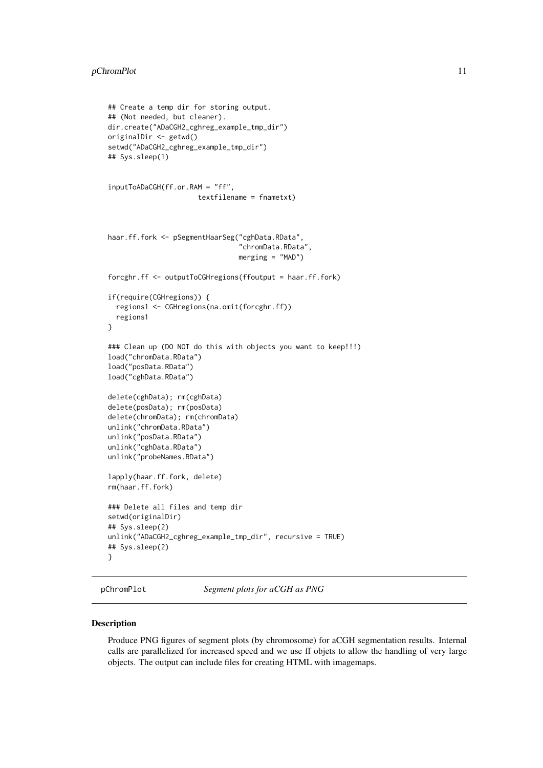#### <span id="page-10-0"></span>pChromPlot 11

```
## Create a temp dir for storing output.
## (Not needed, but cleaner).
dir.create("ADaCGH2_cghreg_example_tmp_dir")
originalDir <- getwd()
setwd("ADaCGH2_cghreg_example_tmp_dir")
## Sys.sleep(1)
inputToADaCGH(ff.or.RAM = "ff",
                      textfilename = fnametxt)
haar.ff.fork <- pSegmentHaarSeg("cghData.RData",
                                "chromData.RData",
                                merging = "MAD")
forcghr.ff <- outputToCGHregions(ffoutput = haar.ff.fork)
if(require(CGHregions)) {
  regions1 <- CGHregions(na.omit(forcghr.ff))
  regions1
}
### Clean up (DO NOT do this with objects you want to keep!!!)
load("chromData.RData")
load("posData.RData")
load("cghData.RData")
delete(cghData); rm(cghData)
delete(posData); rm(posData)
delete(chromData); rm(chromData)
unlink("chromData.RData")
unlink("posData.RData")
unlink("cghData.RData")
unlink("probeNames.RData")
lapply(haar.ff.fork, delete)
rm(haar.ff.fork)
### Delete all files and temp dir
setwd(originalDir)
## Sys.sleep(2)
unlink("ADaCGH2_cghreg_example_tmp_dir", recursive = TRUE)
## Sys.sleep(2)
}
```
<span id="page-10-1"></span>pChromPlot *Segment plots for aCGH as PNG*

#### Description

Produce PNG figures of segment plots (by chromosome) for aCGH segmentation results. Internal calls are parallelized for increased speed and we use ff objets to allow the handling of very large objects. The output can include files for creating HTML with imagemaps.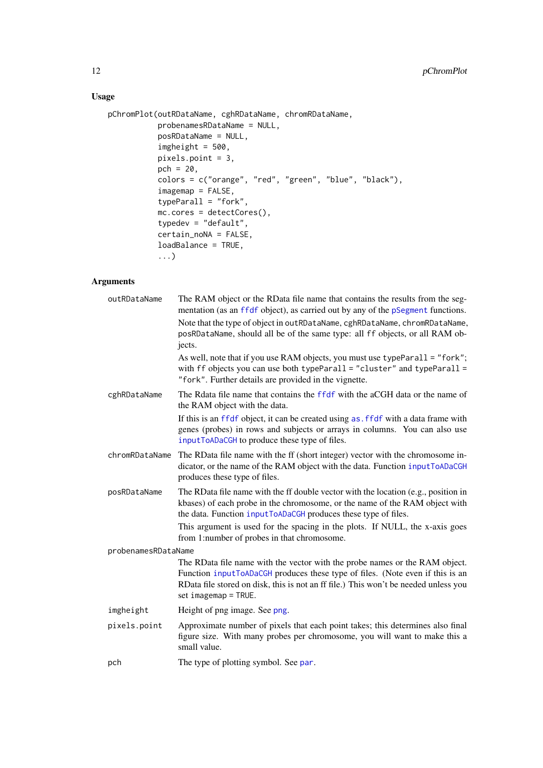# <span id="page-11-0"></span>Usage

```
pChromPlot(outRDataName, cghRDataName, chromRDataName,
           probenamesRDataName = NULL,
           posRDataName = NULL,
           imgheight = 500,pixels.point = 3,
           pch = 20,
           colors = c("orange", "red", "green", "blue", "black"),
           imagemap = FALSE,
           typeParall = "fork",
           mc.cores = detectCores(),
           typedev = "default",
           certain_noNA = FALSE,
           loadBalance = TRUE,
           ...)
```
## Arguments

| outRDataName        | The RAM object or the RData file name that contains the results from the seg-<br>mentation (as an ffdf object), as carried out by any of the pSegment functions.                                                                                                               |
|---------------------|--------------------------------------------------------------------------------------------------------------------------------------------------------------------------------------------------------------------------------------------------------------------------------|
|                     | Note that the type of object in outRDataName, cghRDataName, chromRDataName,<br>posRDataName, should all be of the same type: all ff objects, or all RAM ob-<br>jects.                                                                                                          |
|                     | As well, note that if you use RAM objects, you must use typeParall = "fork";<br>with ff objects you can use both typeParall = "cluster" and typeParall =<br>"fork". Further details are provided in the vignette.                                                              |
| cghRDataName        | The Rdata file name that contains the ffdf with the aCGH data or the name of<br>the RAM object with the data.                                                                                                                                                                  |
|                     | If this is an ffdf object, it can be created using as . ffdf with a data frame with<br>genes (probes) in rows and subjects or arrays in columns. You can also use<br>inputToADaCGH to produce these type of files.                                                             |
| chromRDataName      | The RData file name with the ff (short integer) vector with the chromosome in-<br>dicator, or the name of the RAM object with the data. Function inputToADaCGH<br>produces these type of files.                                                                                |
| posRDataName        | The RData file name with the ff double vector with the location (e.g., position in<br>kbases) of each probe in the chromosome, or the name of the RAM object with<br>the data. Function inputToADaCGH produces these type of files.                                            |
|                     | This argument is used for the spacing in the plots. If NULL, the x-axis goes<br>from 1:number of probes in that chromosome.                                                                                                                                                    |
| probenamesRDataName |                                                                                                                                                                                                                                                                                |
|                     | The RData file name with the vector with the probe names or the RAM object.<br>Function inputToADaCGH produces these type of files. (Note even if this is an<br>RData file stored on disk, this is not an ff file.) This won't be needed unless you<br>set $imagemap = TRUE$ . |
| imgheight           | Height of png image. See png.                                                                                                                                                                                                                                                  |
| pixels.point        | Approximate number of pixels that each point takes; this determines also final<br>figure size. With many probes per chromosome, you will want to make this a<br>small value.                                                                                                   |
| pch                 | The type of plotting symbol. See par.                                                                                                                                                                                                                                          |
|                     |                                                                                                                                                                                                                                                                                |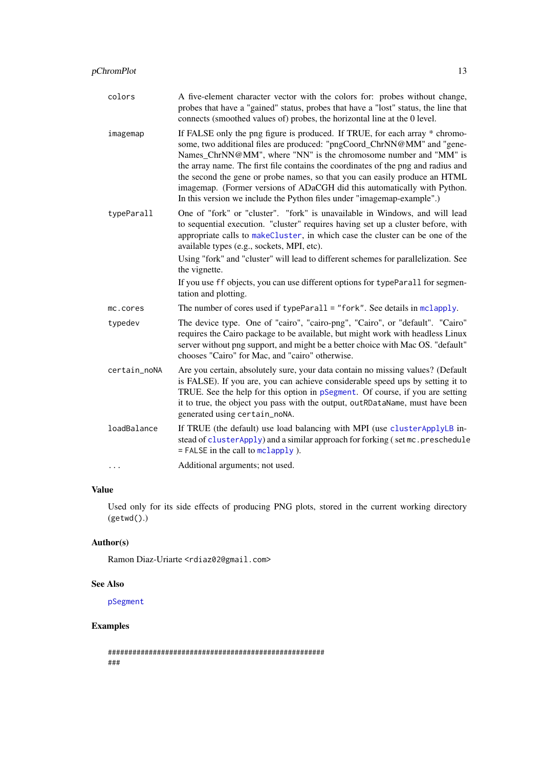<span id="page-12-0"></span>

| colors       | A five-element character vector with the colors for: probes without change,<br>probes that have a "gained" status, probes that have a "lost" status, the line that<br>connects (smoothed values of) probes, the horizontal line at the 0 level.                                                                                                                                                                                                                                                                                                     |
|--------------|-----------------------------------------------------------------------------------------------------------------------------------------------------------------------------------------------------------------------------------------------------------------------------------------------------------------------------------------------------------------------------------------------------------------------------------------------------------------------------------------------------------------------------------------------------|
| imagemap     | If FALSE only the png figure is produced. If TRUE, for each array * chromo-<br>some, two additional files are produced: "pngCoord_ChrNN@MM" and "gene-<br>Names_ChrNN@MM", where "NN" is the chromosome number and "MM" is<br>the array name. The first file contains the coordinates of the png and radius and<br>the second the gene or probe names, so that you can easily produce an HTML<br>imagemap. (Former versions of ADaCGH did this automatically with Python.<br>In this version we include the Python files under "imagemap-example".) |
| typeParall   | One of "fork" or "cluster". "fork" is unavailable in Windows, and will lead<br>to sequential execution. "cluster" requires having set up a cluster before, with<br>appropriate calls to makeCluster, in which case the cluster can be one of the<br>available types (e.g., sockets, MPI, etc).<br>Using "fork" and "cluster" will lead to different schemes for parallelization. See<br>the vignette.<br>If you use ff objects, you can use different options for typeParall for segmen-<br>tation and plotting.                                    |
| mc.cores     | The number of cores used if typeParall = "fork". See details in mclapply.                                                                                                                                                                                                                                                                                                                                                                                                                                                                           |
| typedev      | The device type. One of "cairo", "cairo-png", "Cairo", or "default". "Cairo"<br>requires the Cairo package to be available, but might work with headless Linux<br>server without png support, and might be a better choice with Mac OS. "default"<br>chooses "Cairo" for Mac, and "cairo" otherwise.                                                                                                                                                                                                                                                |
| certain_noNA | Are you certain, absolutely sure, your data contain no missing values? (Default<br>is FALSE). If you are, you can achieve considerable speed ups by setting it to<br>TRUE. See the help for this option in pSegment. Of course, if you are setting<br>it to true, the object you pass with the output, outRDataName, must have been<br>generated using certain_noNA.                                                                                                                                                                                |
| loadBalance  | If TRUE (the default) use load balancing with MPI (use cluster ApplyLB in-<br>stead of clusterApply) and a similar approach for forking (set mc. preschedule<br>$=$ FALSE in the call to $melapply$ ).                                                                                                                                                                                                                                                                                                                                              |
| $\cdots$     | Additional arguments; not used.                                                                                                                                                                                                                                                                                                                                                                                                                                                                                                                     |

# Value

Used only for its side effects of producing PNG plots, stored in the current working directory (getwd().)

# Author(s)

Ramon Diaz-Uriarte <rdiaz02@gmail.com>

# See Also

[pSegment](#page-15-1)

# Examples

```
#####################################################
###
```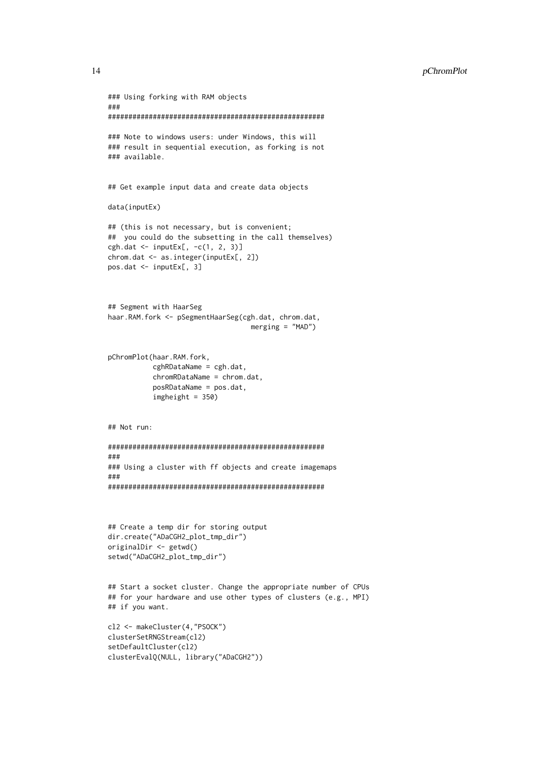```
### Using forking with RAM objects
###
#####################################################
### Note to windows users: under Windows, this will
### result in sequential execution, as forking is not
### available.
## Get example input data and create data objects
data(inputEx)
## (this is not necessary, but is convenient;
## you could do the subsetting in the call themselves)
cgh.data \leftarrow inputEx[, -c(1, 2, 3)]chrom.dat <- as.integer(inputEx[, 2])
pos.dat <- inputEx[, 3]
## Segment with HaarSeg
haar.RAM.fork <- pSegmentHaarSeg(cgh.dat, chrom.dat,
                                   merging = "MAD")
pChromPlot(haar.RAM.fork,
           cghRDataName = cgh.dat,
           chromRDataName = chrom.dat,
           posRDataName = pos.dat,
           imcheight = 350## Not run:
#####################################################
###
### Using a cluster with ff objects and create imagemaps
###
#####################################################
## Create a temp dir for storing output
dir.create("ADaCGH2_plot_tmp_dir")
originalDir <- getwd()
setwd("ADaCGH2_plot_tmp_dir")
## Start a socket cluster. Change the appropriate number of CPUs
## for your hardware and use other types of clusters (e.g., MPI)
## if you want.
cl2 <- makeCluster(4,"PSOCK")
clusterSetRNGStream(cl2)
setDefaultCluster(cl2)
clusterEvalQ(NULL, library("ADaCGH2"))
```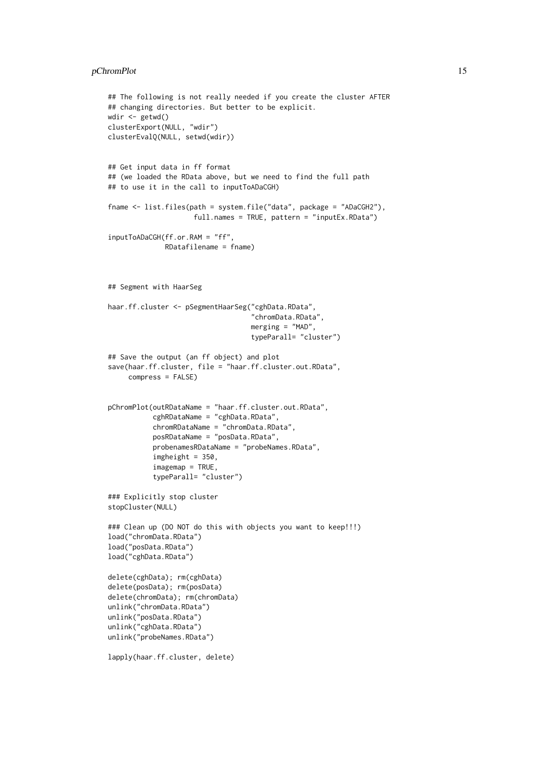#### pChromPlot 15

```
## The following is not really needed if you create the cluster AFTER
## changing directories. But better to be explicit.
wdir <- getwd()
clusterExport(NULL, "wdir")
clusterEvalQ(NULL, setwd(wdir))
## Get input data in ff format
## (we loaded the RData above, but we need to find the full path
## to use it in the call to inputToADaCGH)
fname <- list.files(path = system.file("data", package = "ADaCGH2"),
                     full.names = TRUE, pattern = "inputEx.RData")
inputToADaCGH(ff.or.RAM = "ff",
              RDatafilename = fname)
## Segment with HaarSeg
haar.ff.cluster <- pSegmentHaarSeg("cghData.RData",
                                   "chromData.RData",
                                   merging = "MAD".typeParall= "cluster")
## Save the output (an ff object) and plot
save(haar.ff.cluster, file = "haar.ff.cluster.out.RData",
     compress = FALSE)
pChromPlot(outRDataName = "haar.ff.cluster.out.RData",
           cghRDataName = "cghData.RData",
           chromRDataName = "chromData.RData",
           posRDataName = "posData.RData",
           probenamesRDataName = "probeNames.RData",
           imgheight = 350,imagemap = TRUE,
           typeParall= "cluster")
### Explicitly stop cluster
stopCluster(NULL)
### Clean up (DO NOT do this with objects you want to keep!!!)
load("chromData.RData")
load("posData.RData")
load("cghData.RData")
delete(cghData); rm(cghData)
delete(posData); rm(posData)
delete(chromData); rm(chromData)
unlink("chromData.RData")
unlink("posData.RData")
unlink("cghData.RData")
unlink("probeNames.RData")
```

```
lapply(haar.ff.cluster, delete)
```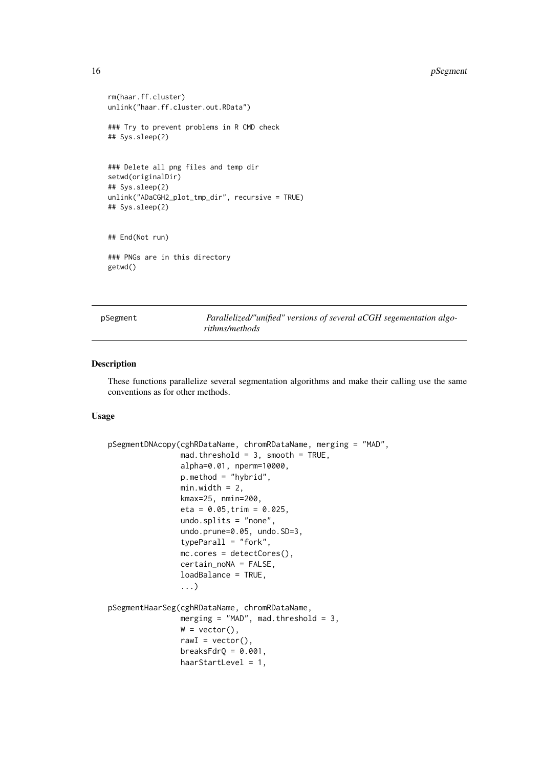```
rm(haar.ff.cluster)
unlink("haar.ff.cluster.out.RData")
### Try to prevent problems in R CMD check
## Sys.sleep(2)
### Delete all png files and temp dir
setwd(originalDir)
## Sys.sleep(2)
unlink("ADaCGH2_plot_tmp_dir", recursive = TRUE)
## Sys.sleep(2)
## End(Not run)
### PNGs are in this directory
getwd()
```
<span id="page-15-1"></span>pSegment *Parallelized/"unified" versions of several aCGH segementation algorithms/methods*

#### Description

These functions parallelize several segmentation algorithms and make their calling use the same conventions as for other methods.

#### Usage

```
pSegmentDNAcopy(cghRDataName, chromRDataName, merging = "MAD",
                mad. threshold = 3, smooth = TRUE,
                alpha=0.01, nperm=10000,
                p.method = "hybrid",
                min.width = 2,kmax=25, nmin=200,
                eta = 0.05, trim = 0.025,
                undo.splits = "none",
                undo.prune=0.05, undo.SD=3,
                typeParall = "fork",
                mc.cores = detectCores(),
                certain_noNA = FALSE,
                loadBalance = TRUE,
                ...)
pSegmentHaarSeg(cghRDataName, chromRDataName,
                merging = "MAD", mad.threshold = 3,
                W = vector(),
                rawI = vector(),
                breaksFdrQ = 0.001,
                haarStartLevel = 1,
```
<span id="page-15-0"></span>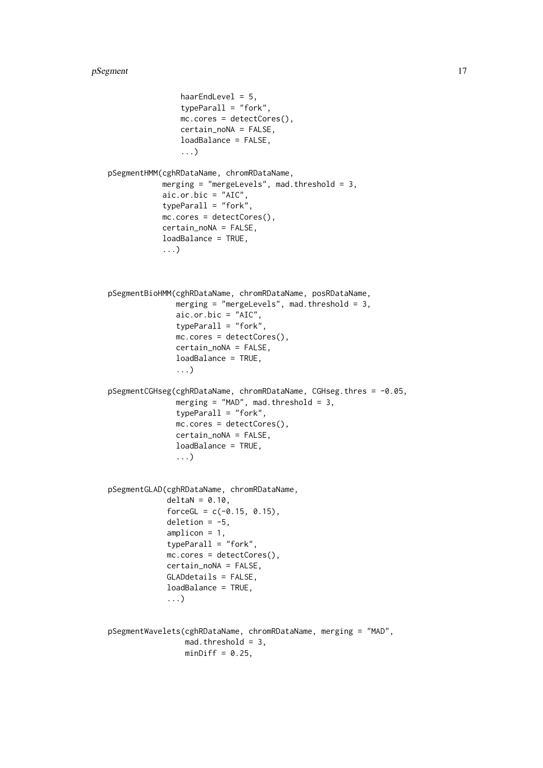```
haarEndLevel = 5,
                typeParall = "fork",
                mc.cores = detectCores(),
                certain_noNA = FALSE,
                loadBalance = FALSE,
                ...)
pSegmentHMM(cghRDataName, chromRDataName,
            merging = "mergeLevels", mad.threshold = 3,
            aic.or.bic = "AIC",
            typeParall = "fork",
            mc.cores = detectCores(),
            certain_noNA = FALSE,
            loadBalance = TRUE,
            ...)
pSegmentBioHMM(cghRDataName, chromRDataName, posRDataName,
               merging = "mergeLevels", mad.threshold = 3,
               \text{aic.or.bic} = "AIC",typeParall = "fork",
               mc.cores = detectCores(),
               certain_noNA = FALSE,
               loadBalance = TRUE,
               ...)
pSegmentCGHseg(cghRDataName, chromRDataName, CGHseg.thres = -0.05,
               merging = MAD'', mad.threshold = 3,
               typeParall = "fork",
               mc.cores = detectCores(),
               certain_noNA = FALSE,
               loadBalance = TRUE,
               ...)
pSegmentGLAD(cghRDataName, chromRDataName,
             deltaN = 0.10,
             forceGL = c(-0.15, 0.15),
             deletion = -5.
             amplicon = 1,
             typeParall = "fork",
             mc.cores = detectCores(),
             certain_noNA = FALSE,
             GLADdetails = FALSE,
             loadBalance = TRUE,
             ...)
pSegmentWavelets(cghRDataName, chromRDataName, merging = "MAD",
                 mad.threshold = 3,
                 minDiff = 0.25,
```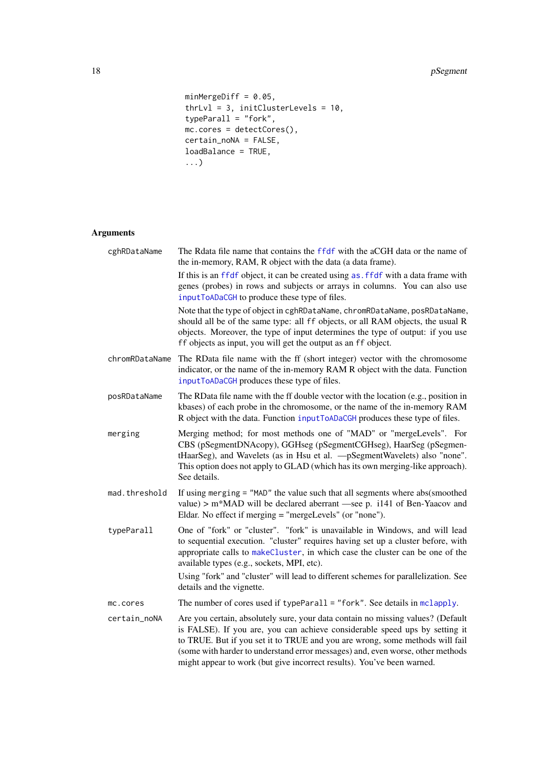```
minMergeDiff = 0.05,
thrLvl = 3, initClusterLevels = 10,
typeParall = "fork",
mc.cores = detectCores(),
certain_noNA = FALSE,
loadBalance = TRUE,
...)
```
# Arguments

| cghRDataName   | The Rdata file name that contains the ffdf with the aCGH data or the name of<br>the in-memory, RAM, R object with the data (a data frame).                                                                                                                                                                                                                                                                 |
|----------------|------------------------------------------------------------------------------------------------------------------------------------------------------------------------------------------------------------------------------------------------------------------------------------------------------------------------------------------------------------------------------------------------------------|
|                | If this is an ffdf object, it can be created using as, ffdf with a data frame with<br>genes (probes) in rows and subjects or arrays in columns. You can also use<br>inputToADaCGH to produce these type of files.                                                                                                                                                                                          |
|                | Note that the type of object in cghRDataName, chromRDataName, posRDataName,<br>should all be of the same type: all ff objects, or all RAM objects, the usual R<br>objects. Moreover, the type of input determines the type of output: if you use<br>ff objects as input, you will get the output as an ff object.                                                                                          |
| chromRDataName | The RData file name with the ff (short integer) vector with the chromosome<br>indicator, or the name of the in-memory RAM R object with the data. Function<br>inputToADaCGH produces these type of files.                                                                                                                                                                                                  |
| posRDataName   | The RData file name with the ff double vector with the location (e.g., position in<br>kbases) of each probe in the chromosome, or the name of the in-memory RAM<br>R object with the data. Function inputToADaCGH produces these type of files.                                                                                                                                                            |
| merging        | Merging method; for most methods one of "MAD" or "mergeLevels". For<br>CBS (pSegmentDNAcopy), GGHseg (pSegmentCGHseg), HaarSeg (pSegmen-<br>tHaarSeg), and Wavelets (as in Hsu et al. - pSegmentWavelets) also "none".<br>This option does not apply to GLAD (which has its own merging-like approach).<br>See details.                                                                                    |
| mad.threshold  | If using merging = "MAD" the value such that all segments where abs(smoothed<br>value) > m*MAD will be declared aberrant —see p. i141 of Ben-Yaacov and<br>Eldar. No effect if merging = "mergeLevels" (or "none").                                                                                                                                                                                        |
| typeParall     | One of "fork" or "cluster". "fork" is unavailable in Windows, and will lead<br>to sequential execution. "cluster" requires having set up a cluster before, with<br>appropriate calls to makeCluster, in which case the cluster can be one of the<br>available types (e.g., sockets, MPI, etc).                                                                                                             |
|                | Using "fork" and "cluster" will lead to different schemes for parallelization. See<br>details and the vignette.                                                                                                                                                                                                                                                                                            |
| mc.cores       | The number of cores used if typeParall = "fork". See details in $mclapply$ .                                                                                                                                                                                                                                                                                                                               |
| certain_noNA   | Are you certain, absolutely sure, your data contain no missing values? (Default<br>is FALSE). If you are, you can achieve considerable speed ups by setting it<br>to TRUE. But if you set it to TRUE and you are wrong, some methods will fail<br>(some with harder to understand error messages) and, even worse, other methods<br>might appear to work (but give incorrect results). You've been warned. |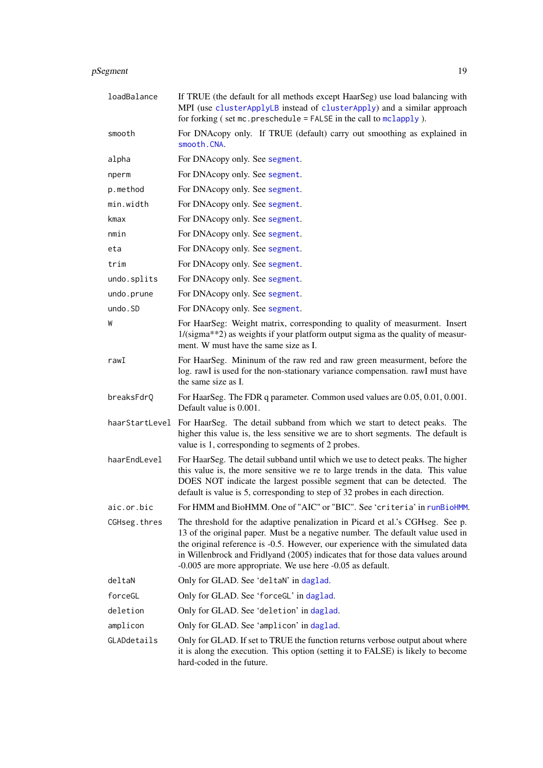<span id="page-18-0"></span>

| pSegment | 1 Q |
|----------|-----|
|          |     |

| loadBalance  | If TRUE (the default for all methods except HaarSeg) use load balancing with<br>MPI (use clusterApplyLB instead of clusterApply) and a similar approach<br>for forking $($ set mc. preschedule = FALSE in the call to mclapply $).$                                                                                                                                                                 |
|--------------|-----------------------------------------------------------------------------------------------------------------------------------------------------------------------------------------------------------------------------------------------------------------------------------------------------------------------------------------------------------------------------------------------------|
| smooth       | For DNAcopy only. If TRUE (default) carry out smoothing as explained in<br>smooth.CNA.                                                                                                                                                                                                                                                                                                              |
| alpha        | For DNAcopy only. See segment.                                                                                                                                                                                                                                                                                                                                                                      |
| nperm        | For DNAcopy only. See segment.                                                                                                                                                                                                                                                                                                                                                                      |
| p.method     | For DNAcopy only. See segment.                                                                                                                                                                                                                                                                                                                                                                      |
| min.width    | For DNAcopy only. See segment.                                                                                                                                                                                                                                                                                                                                                                      |
| kmax         | For DNAcopy only. See segment.                                                                                                                                                                                                                                                                                                                                                                      |
| nmin         | For DNAcopy only. See segment.                                                                                                                                                                                                                                                                                                                                                                      |
| eta          | For DNAcopy only. See segment.                                                                                                                                                                                                                                                                                                                                                                      |
| trim         | For DNAcopy only. See segment.                                                                                                                                                                                                                                                                                                                                                                      |
| undo.splits  | For DNAcopy only. See segment.                                                                                                                                                                                                                                                                                                                                                                      |
| undo.prune   | For DNAcopy only. See segment.                                                                                                                                                                                                                                                                                                                                                                      |
| undo.SD      | For DNAcopy only. See segment.                                                                                                                                                                                                                                                                                                                                                                      |
| W            | For HaarSeg: Weight matrix, corresponding to quality of measurment. Insert<br>1/(sigma**2) as weights if your platform output sigma as the quality of measur-<br>ment. W must have the same size as I.                                                                                                                                                                                              |
| rawI         | For HaarSeg. Mininum of the raw red and raw green measurment, before the<br>log. rawI is used for the non-stationary variance compensation. rawI must have<br>the same size as I.                                                                                                                                                                                                                   |
| breaksFdrQ   | For HaarSeg. The FDR q parameter. Common used values are 0.05, 0.01, 0.001.<br>Default value is 0.001.                                                                                                                                                                                                                                                                                              |
|              | haarStartLevel For HaarSeg. The detail subband from which we start to detect peaks. The<br>higher this value is, the less sensitive we are to short segments. The default is<br>value is 1, corresponding to segments of 2 probes.                                                                                                                                                                  |
| haarEndLevel | For HaarSeg. The detail subband until which we use to detect peaks. The higher<br>this value is, the more sensitive we re to large trends in the data. This value<br>DOES NOT indicate the largest possible segment that can be detected. The<br>default is value is 5, corresponding to step of 32 probes in each direction.                                                                       |
| aic.or.bic   | For HMM and BioHMM. One of "AIC" or "BIC". See 'criteria' in runBioHMM.                                                                                                                                                                                                                                                                                                                             |
| CGHseg.thres | The threshold for the adaptive penalization in Picard et al.'s CGHseg. See p.<br>13 of the original paper. Must be a negative number. The default value used in<br>the original reference is -0.5. However, our experience with the simulated data<br>in Willenbrock and Fridlyand (2005) indicates that for those data values around<br>-0.005 are more appropriate. We use here -0.05 as default. |
| deltaN       | Only for GLAD. See 'deltaN' in daglad.                                                                                                                                                                                                                                                                                                                                                              |
| forceGL      | Only for GLAD. See 'forceGL' in daglad.                                                                                                                                                                                                                                                                                                                                                             |
| deletion     | Only for GLAD. See 'deletion' in daglad.                                                                                                                                                                                                                                                                                                                                                            |
| amplicon     | Only for GLAD. See 'amplicon' in daglad.                                                                                                                                                                                                                                                                                                                                                            |
| GLADdetails  | Only for GLAD. If set to TRUE the function returns verbose output about where<br>it is along the execution. This option (setting it to FALSE) is likely to become<br>hard-coded in the future.                                                                                                                                                                                                      |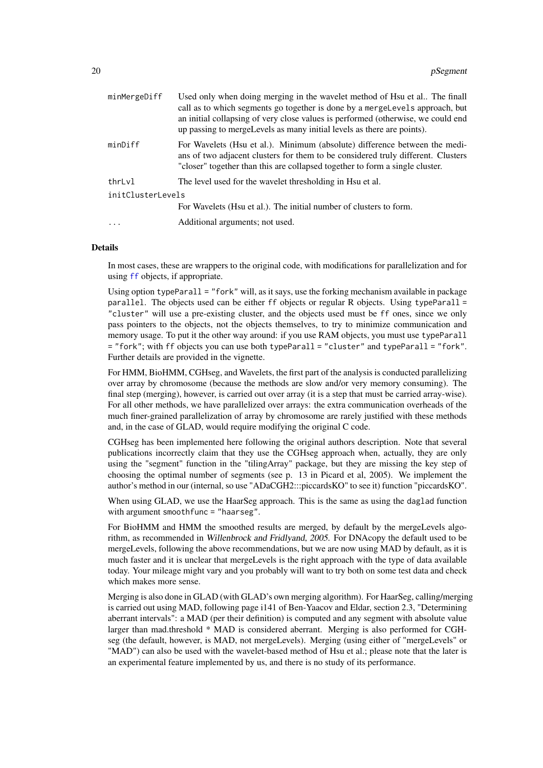<span id="page-19-0"></span>

| minMergeDiff      | Used only when doing merging in the wavelet method of Hsu et al The finall<br>call as to which segments go together is done by a mergeLevels approach, but<br>an initial collapsing of very close values is performed (otherwise, we could end<br>up passing to mergeLevels as many initial levels as there are points). |
|-------------------|--------------------------------------------------------------------------------------------------------------------------------------------------------------------------------------------------------------------------------------------------------------------------------------------------------------------------|
| minDiff           | For Wavelets (Hsu et al.). Minimum (absolute) difference between the medi-<br>ans of two adjacent clusters for them to be considered truly different. Clusters<br>"closer" together than this are collapsed together to form a single cluster.                                                                           |
| thrLvl            | The level used for the wavelet thresholding in Hsu et al.                                                                                                                                                                                                                                                                |
| initClusterLevels |                                                                                                                                                                                                                                                                                                                          |
|                   | For Wavelets (Hsu et al.). The initial number of clusters to form.                                                                                                                                                                                                                                                       |
| $\cdots$          | Additional arguments; not used.                                                                                                                                                                                                                                                                                          |

#### Details

In most cases, these are wrappers to the original code, with modifications for parallelization and for using [ff](#page-0-0) objects, if appropriate.

Using option typeParall = "fork" will, as it says, use the forking mechanism available in package parallel. The objects used can be either ff objects or regular R objects. Using typeParall = "cluster" will use a pre-existing cluster, and the objects used must be ff ones, since we only pass pointers to the objects, not the objects themselves, to try to minimize communication and memory usage. To put it the other way around: if you use RAM objects, you must use typeParall = "fork"; with ff objects you can use both typeParall = "cluster" and typeParall = "fork". Further details are provided in the vignette.

For HMM, BioHMM, CGHseg, and Wavelets, the first part of the analysis is conducted parallelizing over array by chromosome (because the methods are slow and/or very memory consuming). The final step (merging), however, is carried out over array (it is a step that must be carried array-wise). For all other methods, we have parallelized over arrays: the extra communication overheads of the much finer-grained parallelization of array by chromosome are rarely justified with these methods and, in the case of GLAD, would require modifying the original C code.

CGHseg has been implemented here following the original authors description. Note that several publications incorrectly claim that they use the CGHseg approach when, actually, they are only using the "segment" function in the "tilingArray" package, but they are missing the key step of choosing the optimal number of segments (see p. 13 in Picard et al, 2005). We implement the author's method in our (internal, so use "ADaCGH2:::piccardsKO" to see it) function "piccardsKO".

When using GLAD, we use the HaarSeg approach. This is the same as using the daglad function with argument smoothfunc = "haarseg".

For BioHMM and HMM the smoothed results are merged, by default by the mergeLevels algorithm, as recommended in Willenbrock and Fridlyand, 2005. For DNAcopy the default used to be mergeLevels, following the above recommendations, but we are now using MAD by default, as it is much faster and it is unclear that mergeLevels is the right approach with the type of data available today. Your mileage might vary and you probably will want to try both on some test data and check which makes more sense.

Merging is also done in GLAD (with GLAD's own merging algorithm). For HaarSeg, calling/merging is carried out using MAD, following page i141 of Ben-Yaacov and Eldar, section 2.3, "Determining aberrant intervals": a MAD (per their definition) is computed and any segment with absolute value larger than mad.threshold \* MAD is considered aberrant. Merging is also performed for CGHseg (the default, however, is MAD, not mergeLevels). Merging (using either of "mergeLevels" or "MAD") can also be used with the wavelet-based method of Hsu et al.; please note that the later is an experimental feature implemented by us, and there is no study of its performance.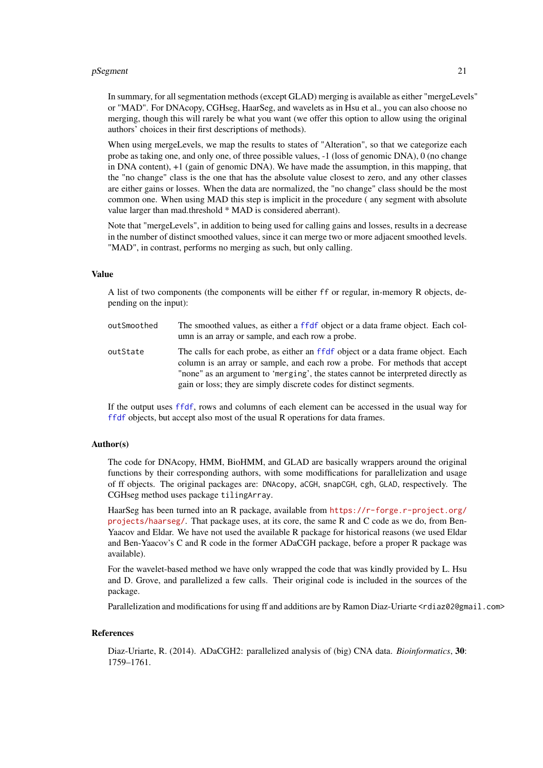#### <span id="page-20-0"></span>pSegment 21

In summary, for all segmentation methods (except GLAD) merging is available as either "mergeLevels" or "MAD". For DNAcopy, CGHseg, HaarSeg, and wavelets as in Hsu et al., you can also choose no merging, though this will rarely be what you want (we offer this option to allow using the original authors' choices in their first descriptions of methods).

When using mergeLevels, we map the results to states of "Alteration", so that we categorize each probe as taking one, and only one, of three possible values, -1 (loss of genomic DNA), 0 (no change in DNA content), +1 (gain of genomic DNA). We have made the assumption, in this mapping, that the "no change" class is the one that has the absolute value closest to zero, and any other classes are either gains or losses. When the data are normalized, the "no change" class should be the most common one. When using MAD this step is implicit in the procedure ( any segment with absolute value larger than mad.threshold \* MAD is considered aberrant).

Note that "mergeLevels", in addition to being used for calling gains and losses, results in a decrease in the number of distinct smoothed values, since it can merge two or more adjacent smoothed levels. "MAD", in contrast, performs no merging as such, but only calling.

#### Value

A list of two components (the components will be either ff or regular, in-memory R objects, depending on the input):

outSmoothed The smoothed values, as either a [ffdf](#page-0-0) object or a data frame object. Each column is an array or sample, and each row a probe. outState The calls for each probe, as either an [ffdf](#page-0-0) object or a data frame object. Each column is an array or sample, and each row a probe. For methods that accept "none" as an argument to 'merging', the states cannot be interpreted directly as gain or loss; they are simply discrete codes for distinct segments.

If the output uses [ffdf](#page-0-0), rows and columns of each element can be accessed in the usual way for [ffdf](#page-0-0) objects, but accept also most of the usual R operations for data frames.

#### Author(s)

The code for DNAcopy, HMM, BioHMM, and GLAD are basically wrappers around the original functions by their corresponding authors, with some modiffications for parallelization and usage of ff objects. The original packages are: DNAcopy, aCGH, snapCGH, cgh, GLAD, respectively. The CGHseg method uses package tilingArray.

HaarSeg has been turned into an R package, available from [https://r-forge.r-project.org/](https://r-forge.r-project.org/projects/haarseg/) [projects/haarseg/](https://r-forge.r-project.org/projects/haarseg/). That package uses, at its core, the same R and C code as we do, from Ben-Yaacov and Eldar. We have not used the available R package for historical reasons (we used Eldar and Ben-Yaacov's C and R code in the former ADaCGH package, before a proper R package was available).

For the wavelet-based method we have only wrapped the code that was kindly provided by L. Hsu and D. Grove, and parallelized a few calls. Their original code is included in the sources of the package.

Parallelization and modifications for using ff and additions are by Ramon Diaz-Uriarte <rdiaz02@gmail.com>

### References

Diaz-Uriarte, R. (2014). ADaCGH2: parallelized analysis of (big) CNA data. *Bioinformatics*, 30: 1759–1761.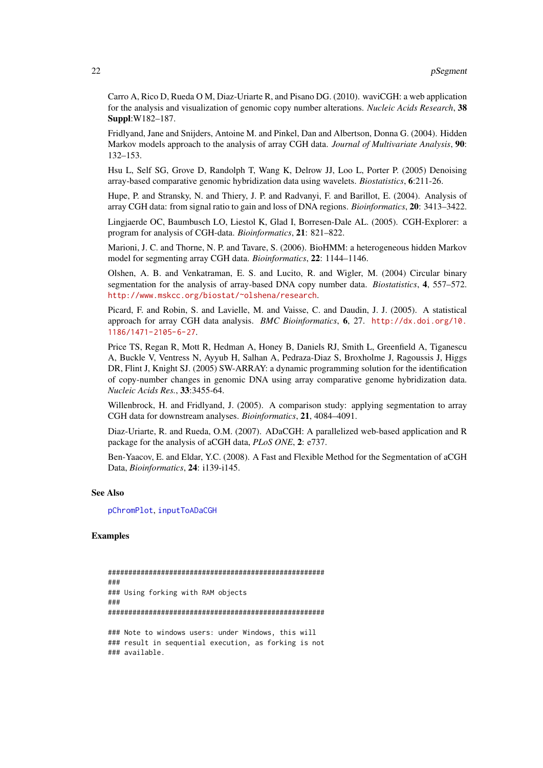Carro A, Rico D, Rueda O M, Diaz-Uriarte R, and Pisano DG. (2010). waviCGH: a web application for the analysis and visualization of genomic copy number alterations. *Nucleic Acids Research*, 38 Suppl:W182–187.

Fridlyand, Jane and Snijders, Antoine M. and Pinkel, Dan and Albertson, Donna G. (2004). Hidden Markov models approach to the analysis of array CGH data. *Journal of Multivariate Analysis*, 90: 132–153.

Hsu L, Self SG, Grove D, Randolph T, Wang K, Delrow JJ, Loo L, Porter P. (2005) Denoising array-based comparative genomic hybridization data using wavelets. *Biostatistics*, 6:211-26.

Hupe, P. and Stransky, N. and Thiery, J. P. and Radvanyi, F. and Barillot, E. (2004). Analysis of array CGH data: from signal ratio to gain and loss of DNA regions. *Bioinformatics*, 20: 3413–3422.

Lingjaerde OC, Baumbusch LO, Liestol K, Glad I, Borresen-Dale AL. (2005). CGH-Explorer: a program for analysis of CGH-data. *Bioinformatics*, 21: 821–822.

Marioni, J. C. and Thorne, N. P. and Tavare, S. (2006). BioHMM: a heterogeneous hidden Markov model for segmenting array CGH data. *Bioinformatics*, 22: 1144–1146.

Olshen, A. B. and Venkatraman, E. S. and Lucito, R. and Wigler, M. (2004) Circular binary segmentation for the analysis of array-based DNA copy number data. *Biostatistics*, 4, 557–572. <http://www.mskcc.org/biostat/~olshena/research>.

Picard, F. and Robin, S. and Lavielle, M. and Vaisse, C. and Daudin, J. J. (2005). A statistical approach for array CGH data analysis. *BMC Bioinformatics*, 6, 27. [http://dx.doi.org/10.](http://dx.doi.org/10.1186/1471-2105-6-27) [1186/1471-2105-6-27](http://dx.doi.org/10.1186/1471-2105-6-27).

Price TS, Regan R, Mott R, Hedman A, Honey B, Daniels RJ, Smith L, Greenfield A, Tiganescu A, Buckle V, Ventress N, Ayyub H, Salhan A, Pedraza-Diaz S, Broxholme J, Ragoussis J, Higgs DR, Flint J, Knight SJ. (2005) SW-ARRAY: a dynamic programming solution for the identification of copy-number changes in genomic DNA using array comparative genome hybridization data. *Nucleic Acids Res.*, 33:3455-64.

Willenbrock, H. and Fridlyand, J. (2005). A comparison study: applying segmentation to array CGH data for downstream analyses. *Bioinformatics*, 21, 4084–4091.

Diaz-Uriarte, R. and Rueda, O.M. (2007). ADaCGH: A parallelized web-based application and R package for the analysis of aCGH data, *PLoS ONE*, 2: e737.

Ben-Yaacov, E. and Eldar, Y.C. (2008). A Fast and Flexible Method for the Segmentation of aCGH Data, *Bioinformatics*, 24: i139-i145.

#### See Also

[pChromPlot](#page-10-1), [inputToADaCGH](#page-3-1)

#### Examples

```
#####################################################
###
### Using forking with RAM objects
###
#####################################################
### Note to windows users: under Windows, this will
### result in sequential execution, as forking is not
### available.
```
<span id="page-21-0"></span>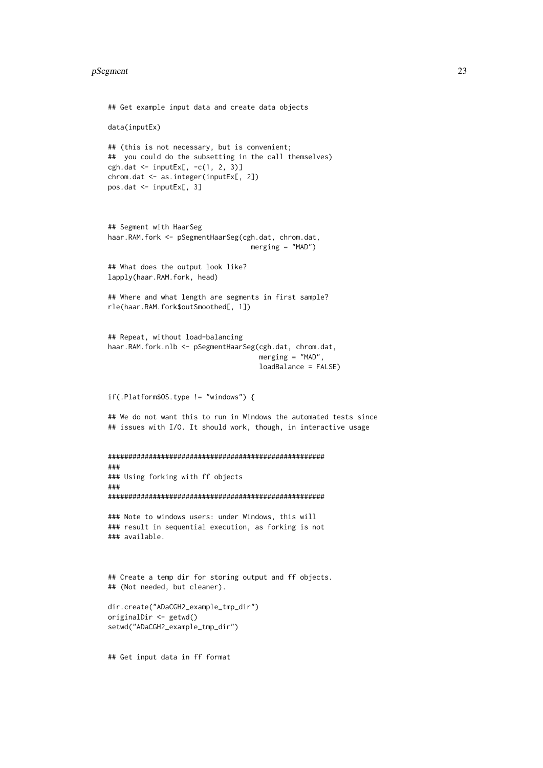#### pSegment 23

```
## Get example input data and create data objects
data(inputEx)
## (this is not necessary, but is convenient;
## you could do the subsetting in the call themselves)
cgh.dat \le inputEx[, -c(1, 2, 3)]
chrom.dat <- as.integer(inputEx[, 2])
pos.dat <- inputEx[, 3]
## Segment with HaarSeg
haar.RAM.fork <- pSegmentHaarSeg(cgh.dat, chrom.dat,
                                   merging = "MAD")
## What does the output look like?
lapply(haar.RAM.fork, head)
## Where and what length are segments in first sample?
rle(haar.RAM.fork$outSmoothed[, 1])
## Repeat, without load-balancing
haar.RAM.fork.nlb <- pSegmentHaarSeg(cgh.dat, chrom.dat,
                                     merging = "MAD",
                                     loadBalance = FALSE)
if(.Platform$OS.type != "windows") {
## We do not want this to run in Windows the automated tests since
## issues with I/O. It should work, though, in interactive usage
#####################################################
###
### Using forking with ff objects
###
#####################################################
### Note to windows users: under Windows, this will
### result in sequential execution, as forking is not
### available.
## Create a temp dir for storing output and ff objects.
## (Not needed, but cleaner).
dir.create("ADaCGH2 example tmp dir")
originalDir <- getwd()
setwd("ADaCGH2_example_tmp_dir")
```
## Get input data in ff format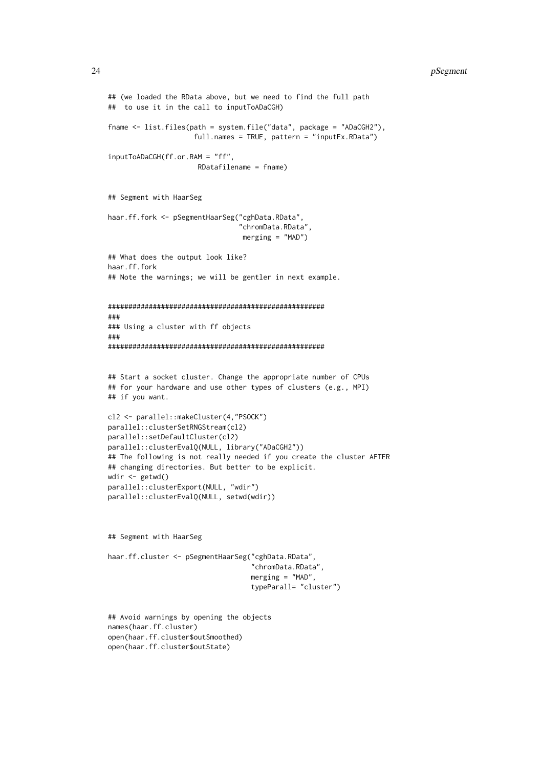#### 24 pSegment and the set of the set of the set of the set of the set of the set of the set of the set of the set of the set of the set of the set of the set of the set of the set of the set of the set of the set of the set

```
## (we loaded the RData above, but we need to find the full path
## to use it in the call to inputToADaCGH)
fname <- list.files(path = system.file("data", package = "ADaCGH2"),
                     full.names = TRUE, pattern = "inputEx.RData")
inputToADaCGH(ff.or.RAM = "ff",
                      RDatafilename = fname)
## Segment with HaarSeg
haar.ff.fork <- pSegmentHaarSeg("cghData.RData",
                                "chromData.RData",
                                 merging = "MAD")## What does the output look like?
haar.ff.fork
## Note the warnings; we will be gentler in next example.
#####################################################
###
### Using a cluster with ff objects
###
#####################################################
## Start a socket cluster. Change the appropriate number of CPUs
## for your hardware and use other types of clusters (e.g., MPI)
## if you want.
cl2 <- parallel::makeCluster(4,"PSOCK")
parallel::clusterSetRNGStream(cl2)
parallel::setDefaultCluster(cl2)
parallel::clusterEvalQ(NULL, library("ADaCGH2"))
## The following is not really needed if you create the cluster AFTER
## changing directories. But better to be explicit.
wdir <- getwd()
parallel::clusterExport(NULL, "wdir")
parallel::clusterEvalQ(NULL, setwd(wdir))
## Segment with HaarSeg
haar.ff.cluster <- pSegmentHaarSeg("cghData.RData",
                                   "chromData.RData",
                                   merging = "MAD".typeParall= "cluster")
## Avoid warnings by opening the objects
names(haar.ff.cluster)
open(haar.ff.cluster$outSmoothed)
```
open(haar.ff.cluster\$outState)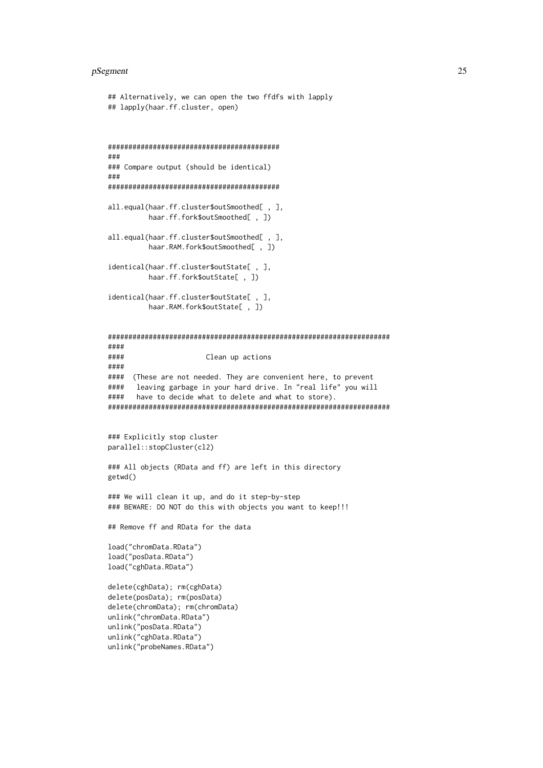#### pSegment 25

```
## Alternatively, we can open the two ffdfs with lapply
## lapply(haar.ff.cluster, open)
##########################################
###
### Compare output (should be identical)
###
##########################################
all.equal(haar.ff.cluster$outSmoothed[ , ],
         haar.ff.fork$outSmoothed[ , ])
all.equal(haar.ff.cluster$outSmoothed[, ],
         haar.RAM.fork$outSmoothed[ , ])
identical(haar.ff.cluster$outState[ , ],
         haar.ff.fork$outState[ , ])
identical(haar.ff.cluster$outState[ , ],
         haar.RAM.fork$outState[ , ])
#####################################################################
####
#### Clean up actions
####
#### (These are not needed. They are convenient here, to prevent
#### leaving garbage in your hard drive. In "real life" you will
#### have to decide what to delete and what to store).
#####################################################################
### Explicitly stop cluster
parallel::stopCluster(cl2)
### All objects (RData and ff) are left in this directory
getwd()
### We will clean it up, and do it step-by-step
### BEWARE: DO NOT do this with objects you want to keep!!!
## Remove ff and RData for the data
load("chromData.RData")
load("posData.RData")
load("cghData.RData")
delete(cghData); rm(cghData)
delete(posData); rm(posData)
delete(chromData); rm(chromData)
unlink("chromData.RData")
unlink("posData.RData")
unlink("cghData.RData")
unlink("probeNames.RData")
```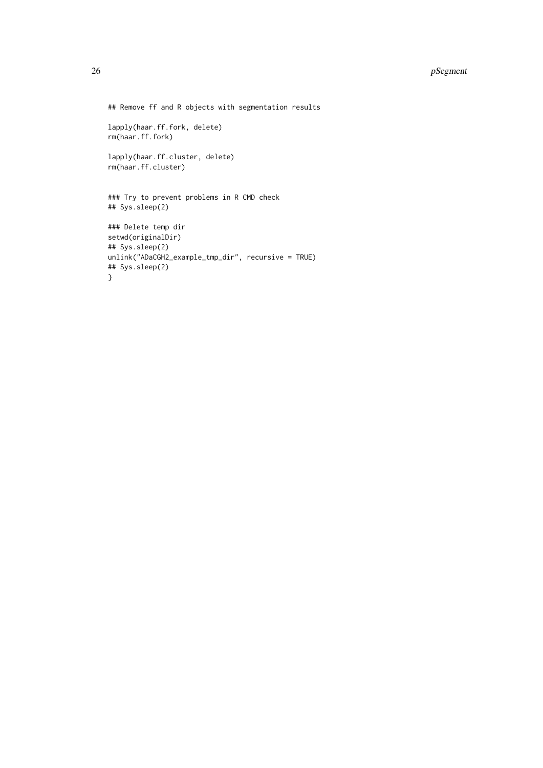## Remove ff and R objects with segmentation results

```
lapply(haar.ff.fork, delete)
rm(haar.ff.fork)
```
lapply(haar.ff.cluster, delete) rm(haar.ff.cluster)

### Try to prevent problems in R CMD check ## Sys.sleep(2)

```
### Delete temp dir
setwd(originalDir)
## Sys.sleep(2)
unlink("ADaCGH2_example_tmp_dir", recursive = TRUE)
## Sys.sleep(2)
}
```